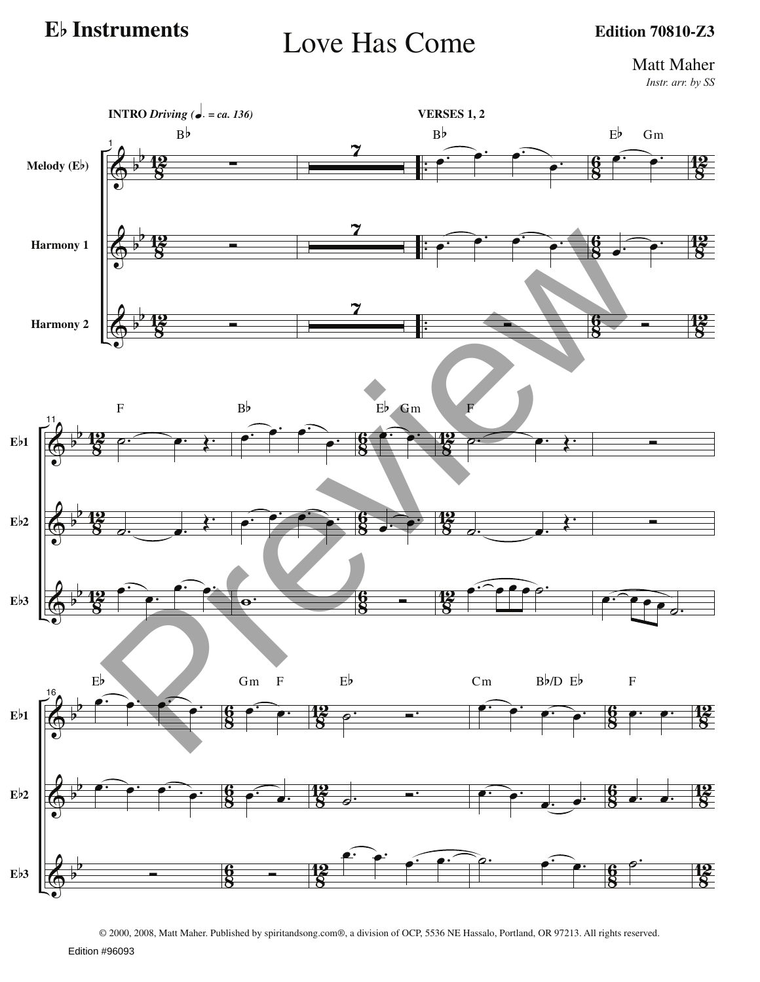## Eb Instruments **Love Has Come**

**Edition 70810-Z3**

## Matt Maher

*Instr. arr. by SS*



© 2000, 2008, Matt Maher. Published by spiritandsong.com®, a division of OCP, 5536 NE Hassalo, Portland, OR 97213. All rights reserved.

Edition #96093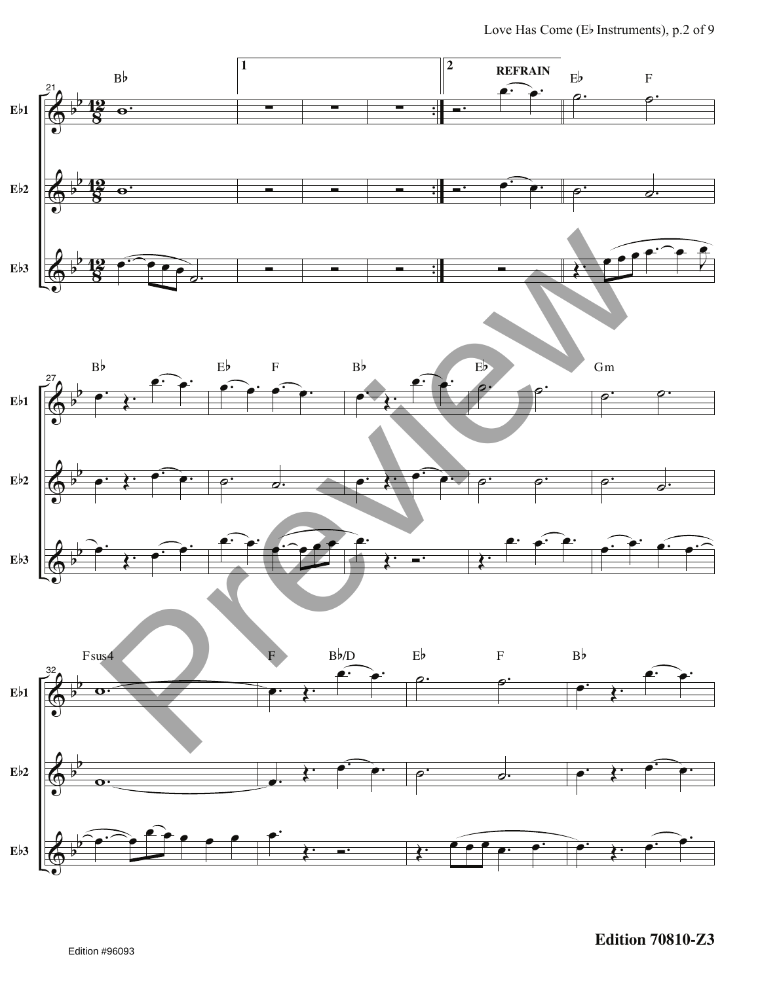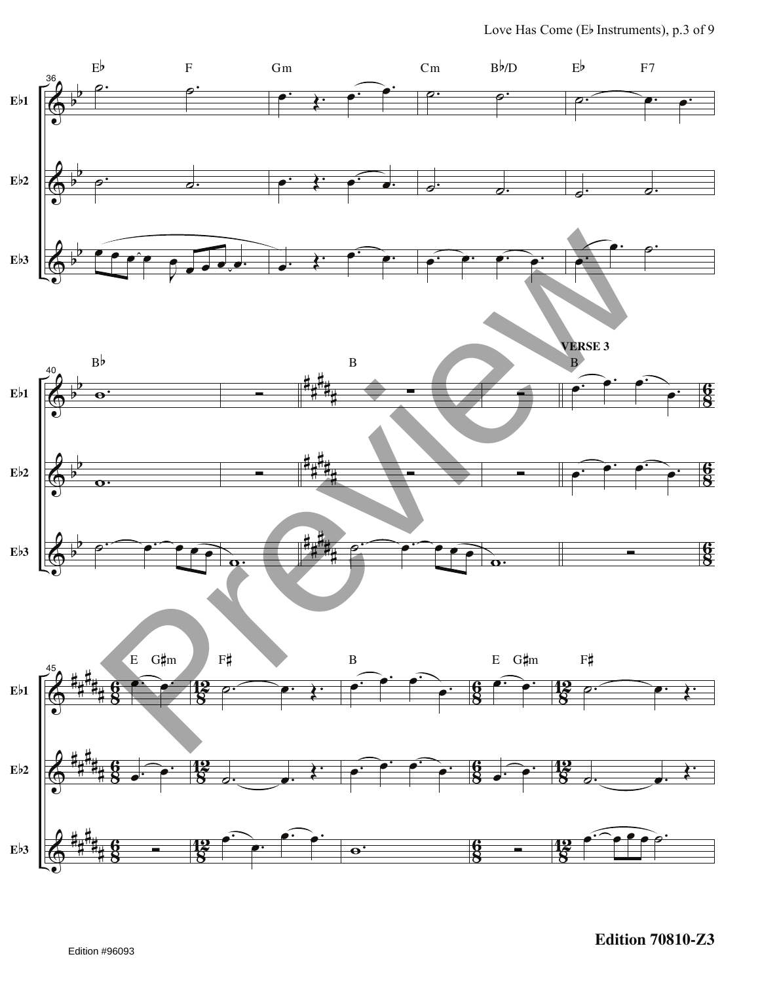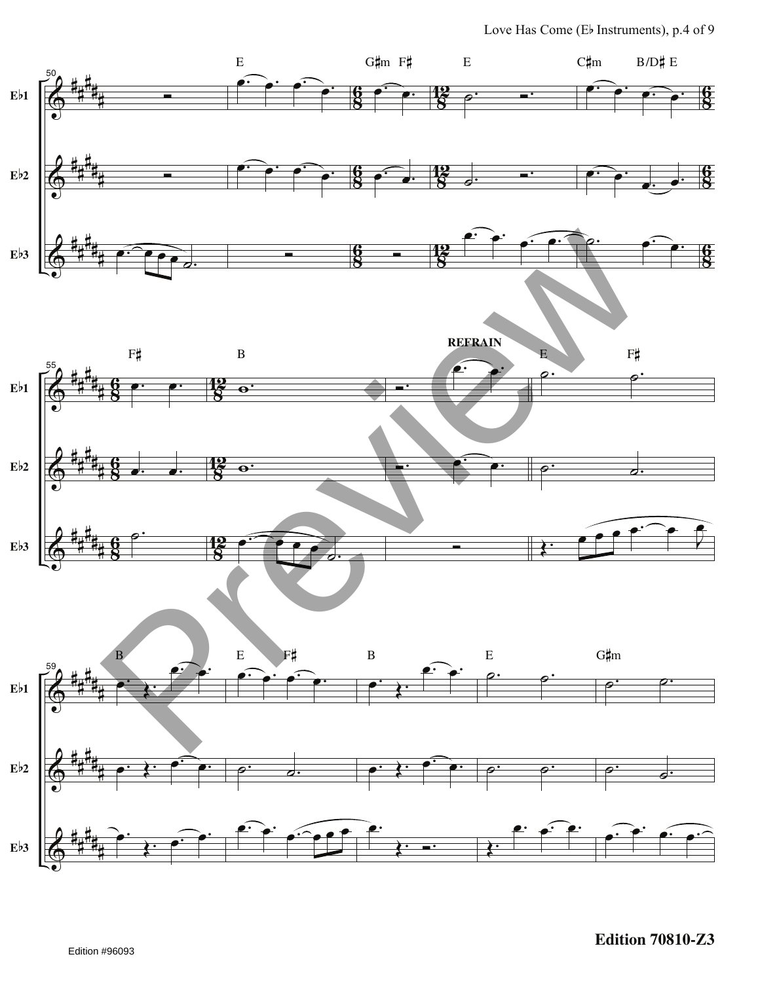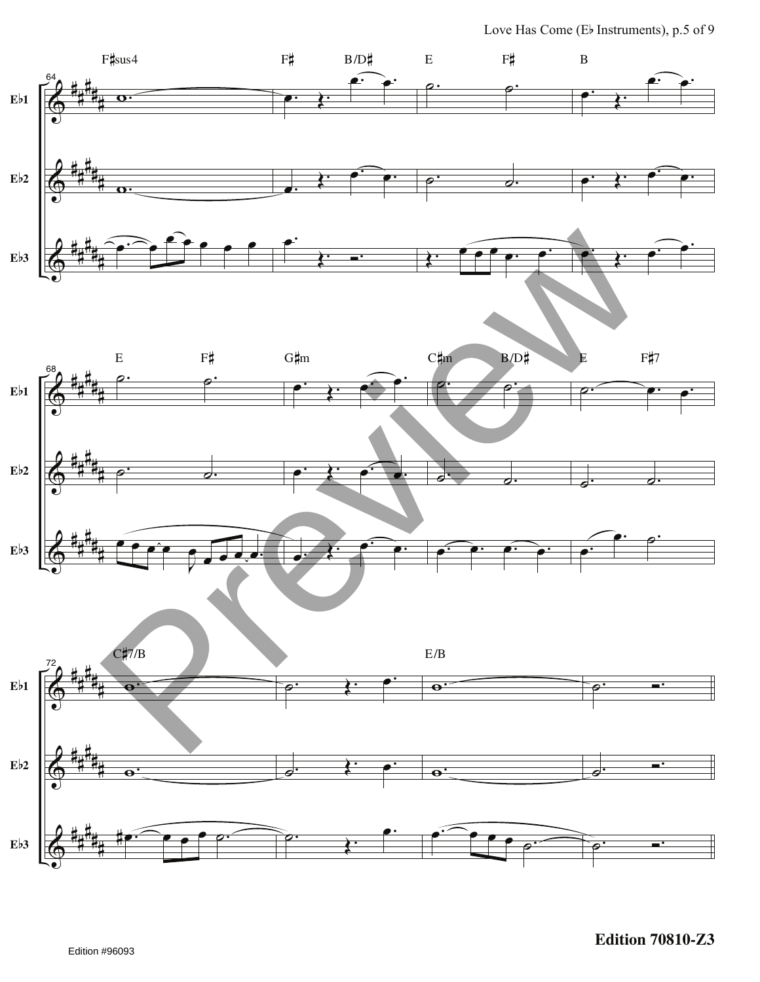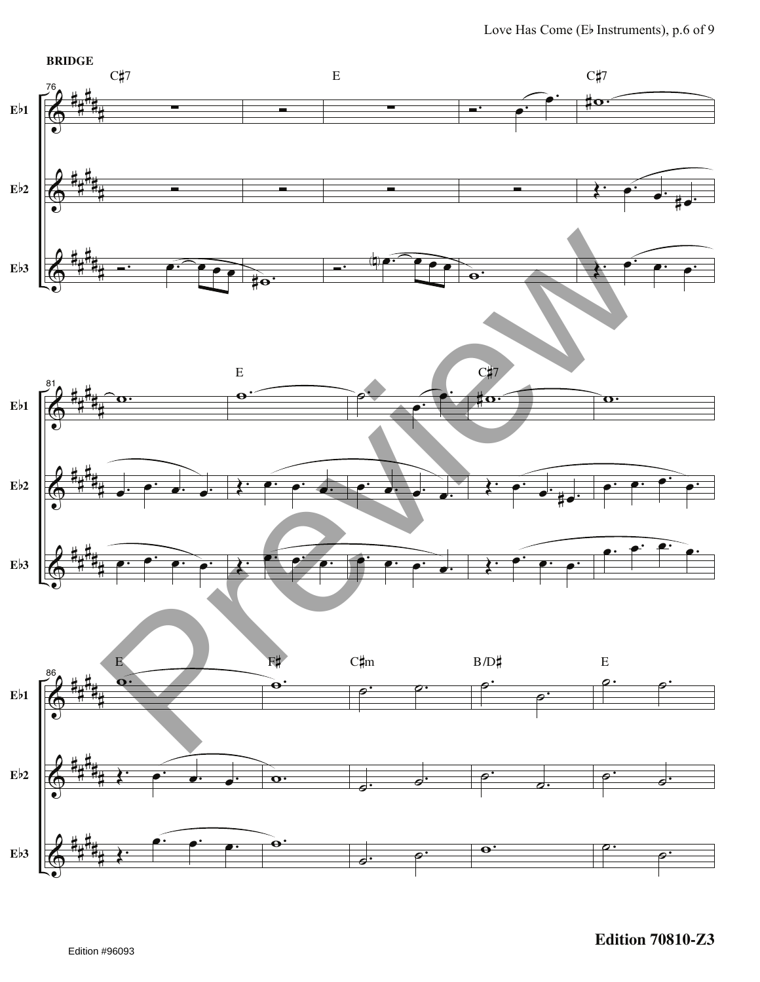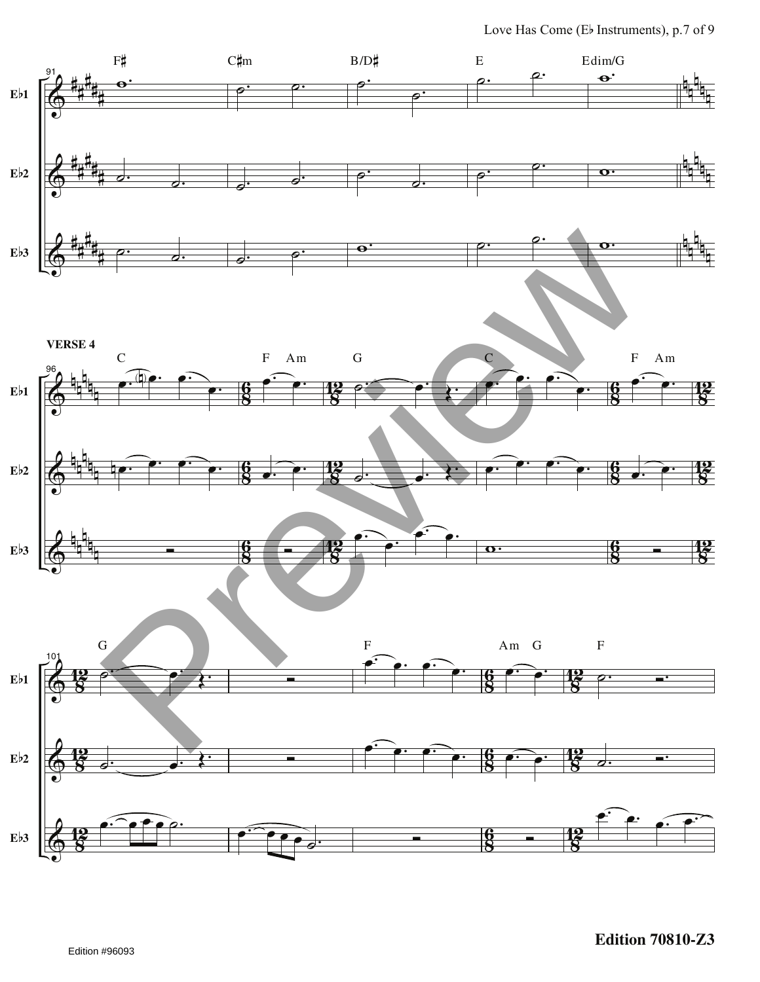Love Has Come (Eb Instruments), p.7 of 9

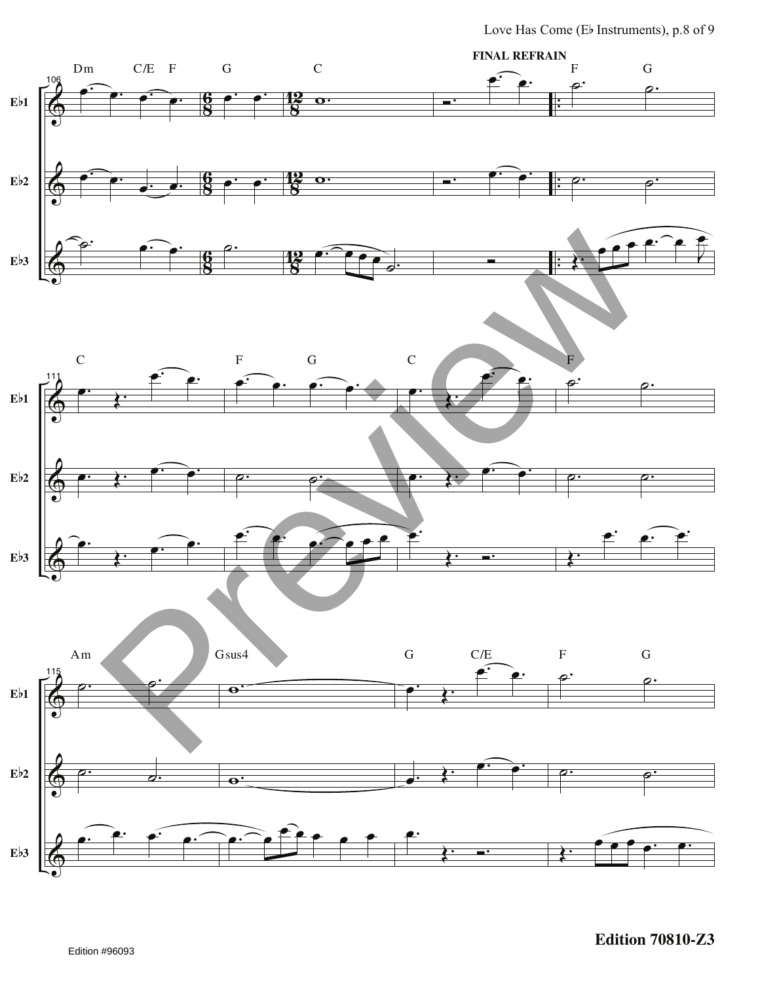Love Has Come (Eb Instruments), p.8 of 9